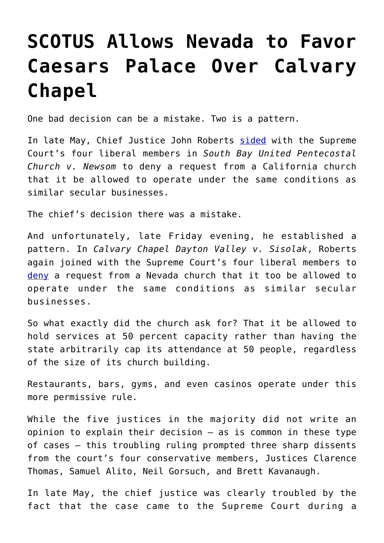## **[SCOTUS Allows Nevada to Favor](https://intellectualtakeout.org/2020/07/scotus-allows-nevada-to-favor-caesars-palace-over-calvary-chapel/) [Caesars Palace Over Calvary](https://intellectualtakeout.org/2020/07/scotus-allows-nevada-to-favor-caesars-palace-over-calvary-chapel/) [Chapel](https://intellectualtakeout.org/2020/07/scotus-allows-nevada-to-favor-caesars-palace-over-calvary-chapel/)**

One bad decision can be a mistake. Two is a pattern.

In late May, Chief Justice John Roberts [sided](https://www.dailysignal.com/2020/06/04/how-5-justices-botched-the-california-church-case-on-covid-19-restrictions/) with the Supreme Court's four liberal members in *South Bay United Pentecostal Church v. Newsom* to deny a request from a California church that it be allowed to operate under the same conditions as similar secular businesses.

The chief's decision there was a mistake.

And unfortunately, late Friday evening, he established a pattern. In *Calvary Chapel Dayton Valley v. Sisolak*, Roberts again joined with the Supreme Court's four liberal members to [deny](https://www.supremecourt.gov/opinions/19pdf/19a1070_08l1.pdf) a request from a Nevada church that it too be allowed to operate under the same conditions as similar secular businesses.

So what exactly did the church ask for? That it be allowed to hold services at 50 percent capacity rather than having the state arbitrarily cap its attendance at 50 people, regardless of the size of its church building.

Restaurants, bars, gyms, and even casinos operate under this more permissive rule.

While the five justices in the majority did not write an opinion to explain their decision – as is common in these type of cases – this troubling ruling prompted three sharp dissents from the court's four conservative members, Justices Clarence Thomas, Samuel Alito, Neil Gorsuch, and Brett Kavanaugh.

In late May, the chief justice was clearly troubled by the fact that the case came to the Supreme Court during a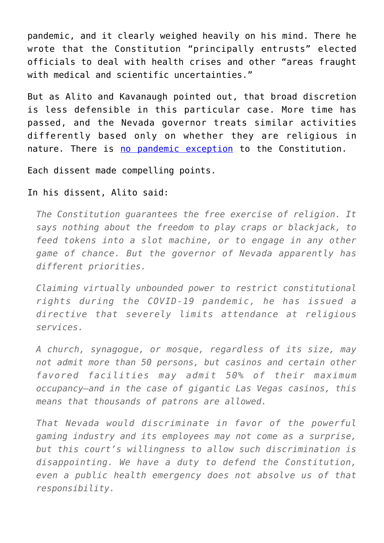pandemic, and it clearly weighed heavily on his mind. There he wrote that the Constitution "principally entrusts" elected officials to deal with health crises and other "areas fraught with medical and scientific uncertainties."

But as Alito and Kavanaugh pointed out, that broad discretion is less defensible in this particular case. More time has passed, and the Nevada governor treats similar activities differently based only on whether they are religious in nature. There is [no pandemic exception](https://www.heritage.org/the-constitution/commentary/constitution-isnt-suspended-covid-19-attorney-general-barr-warns-public?_ga=2.106584451.1457385529.1596029673-558362307.1588960120) to the Constitution.

Each dissent made compelling points.

## In his dissent, Alito said:

*The Constitution guarantees the free exercise of religion. It says nothing about the freedom to play craps or blackjack, to feed tokens into a slot machine, or to engage in any other game of chance. But the governor of Nevada apparently has different priorities.*

*Claiming virtually unbounded power to restrict constitutional rights during the COVID-19 pandemic, he has issued a directive that severely limits attendance at religious services.*

*A church, synagogue, or mosque, regardless of its size, may not admit more than 50 persons, but casinos and certain other favored facilities may admit 50% of their maximum occupancy—and in the case of gigantic Las Vegas casinos, this means that thousands of patrons are allowed.*

*That Nevada would discriminate in favor of the powerful gaming industry and its employees may not come as a surprise, but this court's willingness to allow such discrimination is disappointing. We have a duty to defend the Constitution, even a public health emergency does not absolve us of that responsibility.*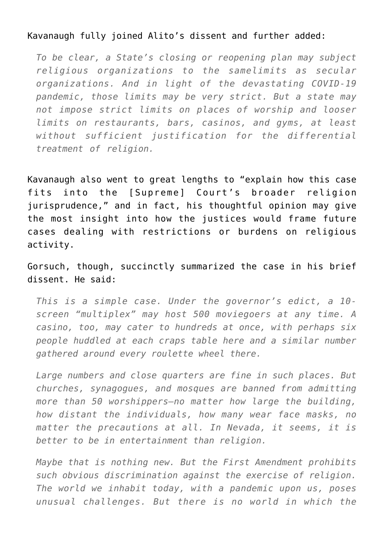## Kavanaugh fully joined Alito's dissent and further added:

*To be clear, a State's closing or reopening plan may subject religious organizations to the samelimits as secular organizations. And in light of the devastating COVID-19 pandemic, those limits may be very strict. But a state may not impose strict limits on places of worship and looser limits on restaurants, bars, casinos, and gyms, at least without sufficient justification for the differential treatment of religion.*

Kavanaugh also went to great lengths to "explain how this case fits into the [Supreme] Court's broader religion jurisprudence," and in fact, his thoughtful opinion may give the most insight into how the justices would frame future cases dealing with restrictions or burdens on religious activity.

Gorsuch, though, succinctly summarized the case in his brief dissent. He said:

*This is a simple case. Under the governor's edict, a 10 screen "multiplex" may host 500 moviegoers at any time. A casino, too, may cater to hundreds at once, with perhaps six people huddled at each craps table here and a similar number gathered around every roulette wheel there.*

*Large numbers and close quarters are fine in such places. But churches, synagogues, and mosques are banned from admitting more than 50 worshippers—no matter how large the building, how distant the individuals, how many wear face masks, no matter the precautions at all. In Nevada, it seems, it is better to be in entertainment than religion.*

*Maybe that is nothing new. But the First Amendment prohibits such obvious discrimination against the exercise of religion. The world we inhabit today, with a pandemic upon us, poses unusual challenges. But there is no world in which the*